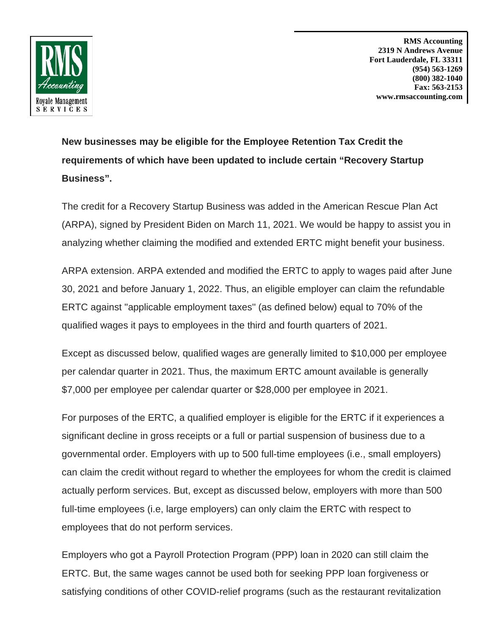

**RMS Accounting 2319 N Andrews Avenue Fort Lauderdale, FL 33311 (954) 563-1269 (800) 382-1040 Fax: 563-2153 www.rmsaccounting.com**

**New businesses may be eligible for the Employee Retention Tax Credit the requirements of which have been updated to include certain "Recovery Startup Business".**

The credit for a Recovery Startup Business was added in the American Rescue Plan Act (ARPA), signed by President Biden on March 11, 2021. We would be happy to assist you in analyzing whether claiming the modified and extended ERTC might benefit your business.

ARPA extension. ARPA extended and modified the ERTC to apply to wages paid after June 30, 2021 and before January 1, 2022. Thus, an eligible employer can claim the refundable ERTC against ''applicable employment taxes'' (as defined below) equal to 70% of the qualified wages it pays to employees in the third and fourth quarters of 2021.

Except as discussed below, qualified wages are generally limited to \$10,000 per employee per calendar quarter in 2021. Thus, the maximum ERTC amount available is generally \$7,000 per employee per calendar quarter or \$28,000 per employee in 2021.

For purposes of the ERTC, a qualified employer is eligible for the ERTC if it experiences a significant decline in gross receipts or a full or partial suspension of business due to a governmental order. Employers with up to 500 full-time employees (i.e., small employers) can claim the credit without regard to whether the employees for whom the credit is claimed actually perform services. But, except as discussed below, employers with more than 500 full-time employees (i.e, large employers) can only claim the ERTC with respect to employees that do not perform services.

Employers who got a Payroll Protection Program (PPP) loan in 2020 can still claim the ERTC. But, the same wages cannot be used both for seeking PPP loan forgiveness or satisfying conditions of other COVID-relief programs (such as the restaurant revitalization